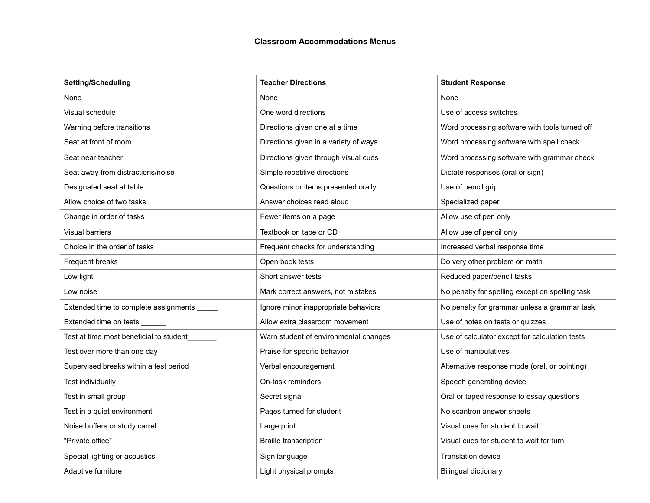## **Classroom Accommodations Menus**

| <b>Setting/Scheduling</b>                   | <b>Teacher Directions</b>             | <b>Student Response</b>                         |
|---------------------------------------------|---------------------------------------|-------------------------------------------------|
| None                                        | None                                  | None                                            |
| Visual schedule                             | One word directions                   | Use of access switches                          |
| Warning before transitions                  | Directions given one at a time        | Word processing software with tools turned off  |
| Seat at front of room                       | Directions given in a variety of ways | Word processing software with spell check       |
| Seat near teacher                           | Directions given through visual cues  | Word processing software with grammar check     |
| Seat away from distractions/noise           | Simple repetitive directions          | Dictate responses (oral or sign)                |
| Designated seat at table                    | Questions or items presented orally   | Use of pencil grip                              |
| Allow choice of two tasks                   | Answer choices read aloud             | Specialized paper                               |
| Change in order of tasks                    | Fewer items on a page                 | Allow use of pen only                           |
| Visual barriers                             | Textbook on tape or CD                | Allow use of pencil only                        |
| Choice in the order of tasks                | Frequent checks for understanding     | Increased verbal response time                  |
| Frequent breaks                             | Open book tests                       | Do very other problem on math                   |
| Low light                                   | Short answer tests                    | Reduced paper/pencil tasks                      |
| Low noise                                   | Mark correct answers, not mistakes    | No penalty for spelling except on spelling task |
| Extended time to complete assignments _____ | Ignore minor inappropriate behaviors  | No penalty for grammar unless a grammar task    |
| Extended time on tests ______               | Allow extra classroom movement        | Use of notes on tests or quizzes                |
| Test at time most beneficial to student     | Warn student of environmental changes | Use of calculator except for calculation tests  |
| Test over more than one day                 | Praise for specific behavior          | Use of manipulatives                            |
| Supervised breaks within a test period      | Verbal encouragement                  | Alternative response mode (oral, or pointing)   |
| Test individually                           | On-task reminders                     | Speech generating device                        |
| Test in small group                         | Secret signal                         | Oral or taped response to essay questions       |
| Test in a quiet environment                 | Pages turned for student              | No scantron answer sheets                       |
| Noise buffers or study carrel               | Large print                           | Visual cues for student to wait                 |
| "Private office"                            | <b>Braille transcription</b>          | Visual cues for student to wait for turn        |
| Special lighting or acoustics               | Sign language                         | <b>Translation device</b>                       |
| Adaptive furniture                          | Light physical prompts                | <b>Bilingual dictionary</b>                     |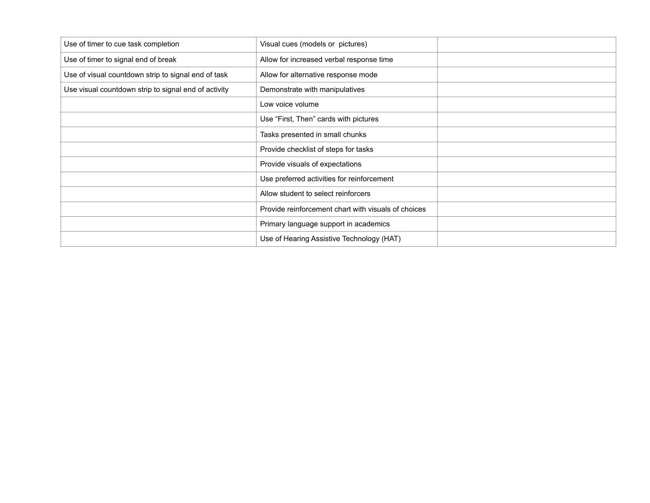| Use of timer to cue task completion                  | Visual cues (models or pictures)                    |  |
|------------------------------------------------------|-----------------------------------------------------|--|
| Use of timer to signal end of break                  | Allow for increased verbal response time            |  |
| Use of visual countdown strip to signal end of task  | Allow for alternative response mode                 |  |
| Use visual countdown strip to signal end of activity | Demonstrate with manipulatives                      |  |
|                                                      | Low voice volume                                    |  |
|                                                      | Use "First, Then" cards with pictures               |  |
|                                                      | Tasks presented in small chunks                     |  |
|                                                      | Provide checklist of steps for tasks                |  |
|                                                      | Provide visuals of expectations                     |  |
|                                                      | Use preferred activities for reinforcement          |  |
|                                                      | Allow student to select reinforcers                 |  |
|                                                      | Provide reinforcement chart with visuals of choices |  |
|                                                      | Primary language support in academics               |  |
|                                                      | Use of Hearing Assistive Technology (HAT)           |  |